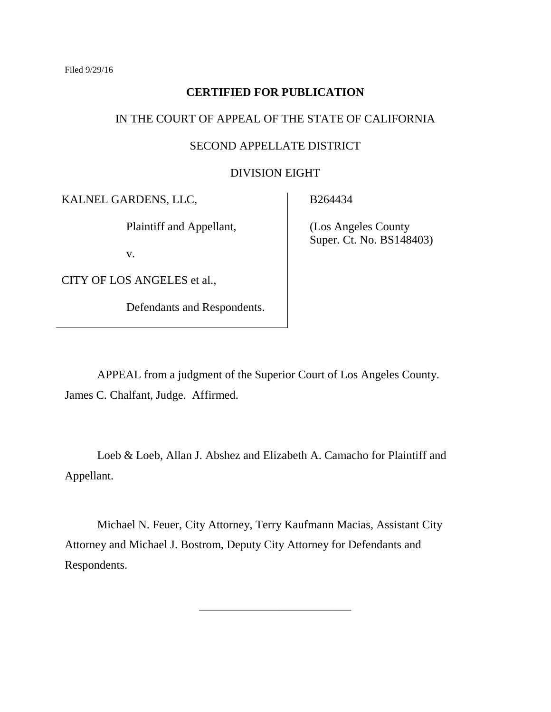## **CERTIFIED FOR PUBLICATION**

# IN THE COURT OF APPEAL OF THE STATE OF CALIFORNIA

#### SECOND APPELLATE DISTRICT

#### DIVISION EIGHT

KALNEL GARDENS, LLC,

Plaintiff and Appellant,

v.

CITY OF LOS ANGELES et al.,

Defendants and Respondents.

B264434

 (Los Angeles County Super. Ct. No. BS148403)

APPEAL from a judgment of the Superior Court of Los Angeles County. James C. Chalfant, Judge. Affirmed.

Loeb & Loeb, Allan J. Abshez and Elizabeth A. Camacho for Plaintiff and Appellant.

Michael N. Feuer, City Attorney, Terry Kaufmann Macias, Assistant City Attorney and Michael J. Bostrom, Deputy City Attorney for Defendants and Respondents.

\_\_\_\_\_\_\_\_\_\_\_\_\_\_\_\_\_\_\_\_\_\_\_\_\_\_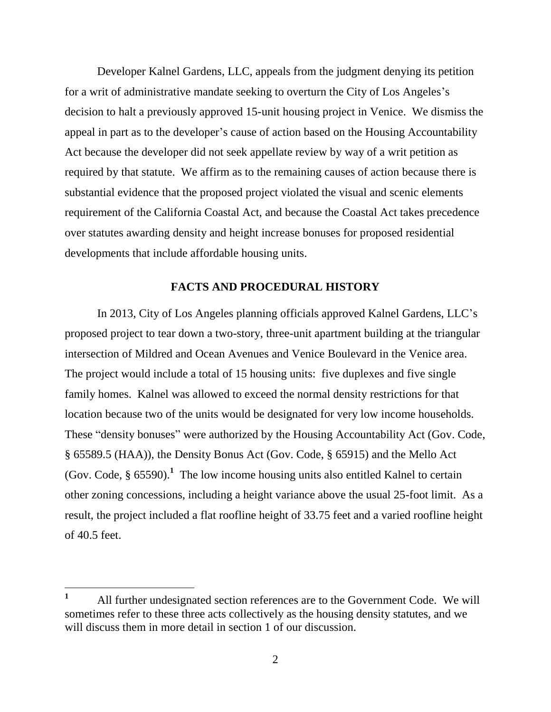Developer Kalnel Gardens, LLC, appeals from the judgment denying its petition for a writ of administrative mandate seeking to overturn the City of Los Angeles's decision to halt a previously approved 15-unit housing project in Venice. We dismiss the appeal in part as to the developer's cause of action based on the Housing Accountability Act because the developer did not seek appellate review by way of a writ petition as required by that statute. We affirm as to the remaining causes of action because there is substantial evidence that the proposed project violated the visual and scenic elements requirement of the California Coastal Act, and because the Coastal Act takes precedence over statutes awarding density and height increase bonuses for proposed residential developments that include affordable housing units.

#### **FACTS AND PROCEDURAL HISTORY**

In 2013, City of Los Angeles planning officials approved Kalnel Gardens, LLC's proposed project to tear down a two-story, three-unit apartment building at the triangular intersection of Mildred and Ocean Avenues and Venice Boulevard in the Venice area. The project would include a total of 15 housing units: five duplexes and five single family homes. Kalnel was allowed to exceed the normal density restrictions for that location because two of the units would be designated for very low income households. These "density bonuses" were authorized by the Housing Accountability Act (Gov. Code, § 65589.5 (HAA)), the Density Bonus Act (Gov. Code, § 65915) and the Mello Act (Gov. Code,  $\S 65590$ ).<sup>1</sup> The low income housing units also entitled Kalnel to certain other zoning concessions, including a height variance above the usual 25-foot limit. As a result, the project included a flat roofline height of 33.75 feet and a varied roofline height of 40.5 feet.

**<sup>1</sup>** All further undesignated section references are to the Government Code. We will sometimes refer to these three acts collectively as the housing density statutes, and we will discuss them in more detail in section 1 of our discussion.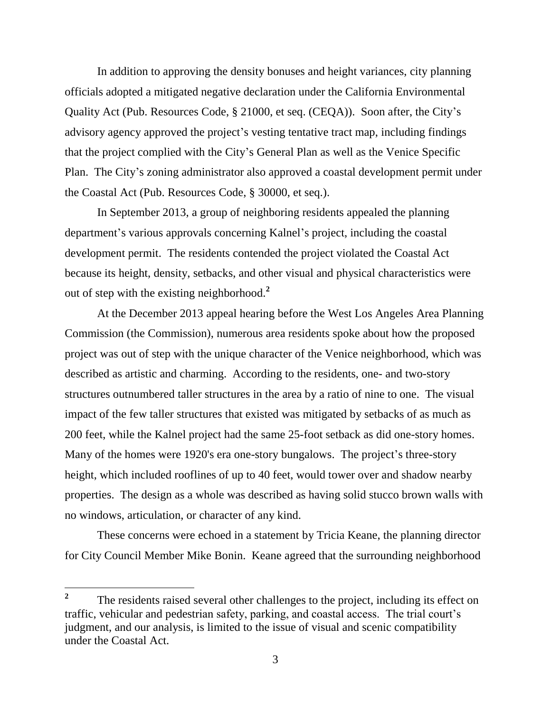In addition to approving the density bonuses and height variances, city planning officials adopted a mitigated negative declaration under the California Environmental Quality Act (Pub. Resources Code, § 21000, et seq. (CEQA)). Soon after, the City's advisory agency approved the project's vesting tentative tract map, including findings that the project complied with the City's General Plan as well as the Venice Specific Plan. The City's zoning administrator also approved a coastal development permit under the Coastal Act (Pub. Resources Code, § 30000, et seq.).

In September 2013, a group of neighboring residents appealed the planning department's various approvals concerning Kalnel's project, including the coastal development permit. The residents contended the project violated the Coastal Act because its height, density, setbacks, and other visual and physical characteristics were out of step with the existing neighborhood.**<sup>2</sup>**

At the December 2013 appeal hearing before the West Los Angeles Area Planning Commission (the Commission), numerous area residents spoke about how the proposed project was out of step with the unique character of the Venice neighborhood, which was described as artistic and charming. According to the residents, one- and two-story structures outnumbered taller structures in the area by a ratio of nine to one. The visual impact of the few taller structures that existed was mitigated by setbacks of as much as 200 feet, while the Kalnel project had the same 25-foot setback as did one-story homes. Many of the homes were 1920's era one-story bungalows. The project's three-story height, which included rooflines of up to 40 feet, would tower over and shadow nearby properties. The design as a whole was described as having solid stucco brown walls with no windows, articulation, or character of any kind.

These concerns were echoed in a statement by Tricia Keane, the planning director for City Council Member Mike Bonin. Keane agreed that the surrounding neighborhood

**<sup>2</sup>** The residents raised several other challenges to the project, including its effect on traffic, vehicular and pedestrian safety, parking, and coastal access. The trial court's judgment, and our analysis, is limited to the issue of visual and scenic compatibility under the Coastal Act.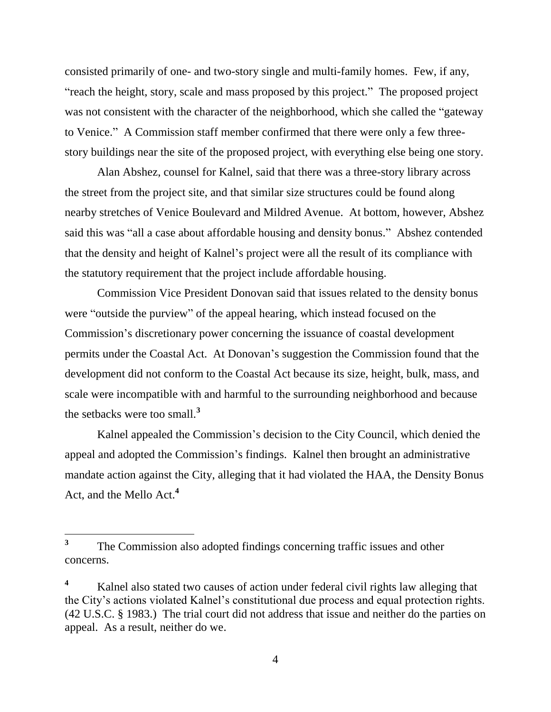consisted primarily of one- and two-story single and multi-family homes. Few, if any, "reach the height, story, scale and mass proposed by this project." The proposed project was not consistent with the character of the neighborhood, which she called the "gateway to Venice." A Commission staff member confirmed that there were only a few threestory buildings near the site of the proposed project, with everything else being one story.

Alan Abshez, counsel for Kalnel, said that there was a three-story library across the street from the project site, and that similar size structures could be found along nearby stretches of Venice Boulevard and Mildred Avenue. At bottom, however, Abshez said this was "all a case about affordable housing and density bonus." Abshez contended that the density and height of Kalnel's project were all the result of its compliance with the statutory requirement that the project include affordable housing.

Commission Vice President Donovan said that issues related to the density bonus were "outside the purview" of the appeal hearing, which instead focused on the Commission's discretionary power concerning the issuance of coastal development permits under the Coastal Act. At Donovan's suggestion the Commission found that the development did not conform to the Coastal Act because its size, height, bulk, mass, and scale were incompatible with and harmful to the surrounding neighborhood and because the setbacks were too small.**<sup>3</sup>**

Kalnel appealed the Commission's decision to the City Council, which denied the appeal and adopted the Commission's findings. Kalnel then brought an administrative mandate action against the City, alleging that it had violated the HAA, the Density Bonus Act, and the Mello Act.**<sup>4</sup>**

 $\overline{a}$ 

**<sup>3</sup>** The Commission also adopted findings concerning traffic issues and other concerns.

**<sup>4</sup>** Kalnel also stated two causes of action under federal civil rights law alleging that the City's actions violated Kalnel's constitutional due process and equal protection rights. (42 U.S.C. § 1983.) The trial court did not address that issue and neither do the parties on appeal. As a result, neither do we.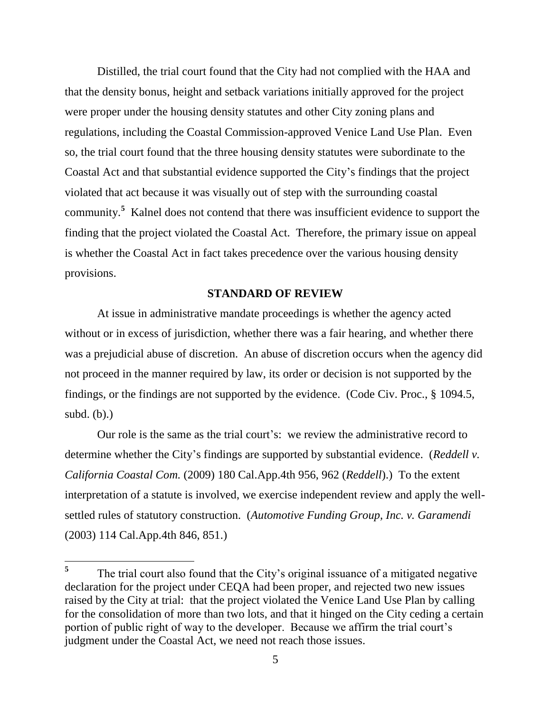Distilled, the trial court found that the City had not complied with the HAA and that the density bonus, height and setback variations initially approved for the project were proper under the housing density statutes and other City zoning plans and regulations, including the Coastal Commission-approved Venice Land Use Plan. Even so, the trial court found that the three housing density statutes were subordinate to the Coastal Act and that substantial evidence supported the City's findings that the project violated that act because it was visually out of step with the surrounding coastal community.**<sup>5</sup>** Kalnel does not contend that there was insufficient evidence to support the finding that the project violated the Coastal Act. Therefore, the primary issue on appeal is whether the Coastal Act in fact takes precedence over the various housing density provisions.

## **STANDARD OF REVIEW**

At issue in administrative mandate proceedings is whether the agency acted without or in excess of jurisdiction, whether there was a fair hearing, and whether there was a prejudicial abuse of discretion. An abuse of discretion occurs when the agency did not proceed in the manner required by law, its order or decision is not supported by the findings, or the findings are not supported by the evidence. (Code Civ. Proc., § 1094.5, subd.  $(b)$ .)

Our role is the same as the trial court's: we review the administrative record to determine whether the City's findings are supported by substantial evidence. (*Reddell v. California Coastal Com.* (2009) 180 Cal.App.4th 956, 962 (*Reddell*).) To the extent interpretation of a statute is involved, we exercise independent review and apply the wellsettled rules of statutory construction. (*Automotive Funding Group, Inc. v. Garamendi* (2003) 114 Cal.App.4th 846, 851.)

**<sup>5</sup>** The trial court also found that the City's original issuance of a mitigated negative declaration for the project under CEQA had been proper, and rejected two new issues raised by the City at trial: that the project violated the Venice Land Use Plan by calling for the consolidation of more than two lots, and that it hinged on the City ceding a certain portion of public right of way to the developer. Because we affirm the trial court's judgment under the Coastal Act, we need not reach those issues.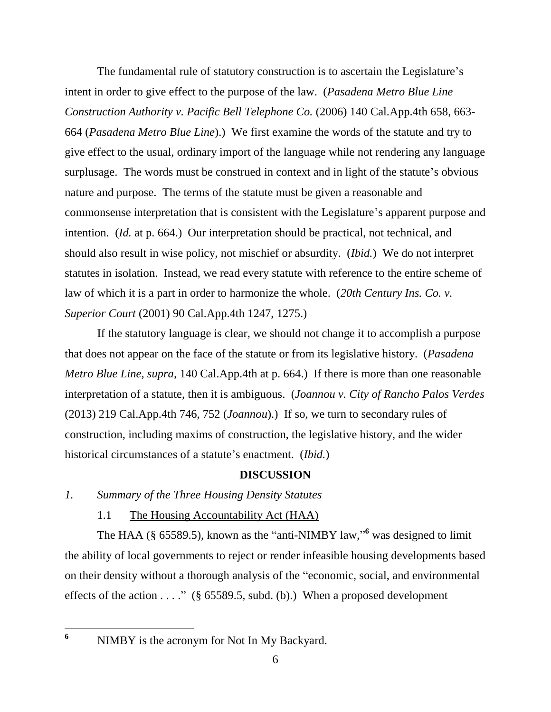The fundamental rule of statutory construction is to ascertain the Legislature's intent in order to give effect to the purpose of the law. (*Pasadena Metro Blue Line Construction Authority v. Pacific Bell Telephone Co.* (2006) 140 Cal.App.4th 658, 663- 664 (*Pasadena Metro Blue Line*).) We first examine the words of the statute and try to give effect to the usual, ordinary import of the language while not rendering any language surplusage. The words must be construed in context and in light of the statute's obvious nature and purpose. The terms of the statute must be given a reasonable and commonsense interpretation that is consistent with the Legislature's apparent purpose and intention. (*Id.* at p. 664.) Our interpretation should be practical, not technical, and should also result in wise policy, not mischief or absurdity. (*Ibid.*) We do not interpret statutes in isolation. Instead, we read every statute with reference to the entire scheme of law of which it is a part in order to harmonize the whole. (*20th Century Ins. Co. v. Superior Court* (2001) 90 Cal.App.4th 1247, 1275.)

If the statutory language is clear, we should not change it to accomplish a purpose that does not appear on the face of the statute or from its legislative history. (*Pasadena Metro Blue Line, supra,* 140 Cal.App.4th at p. 664.) If there is more than one reasonable interpretation of a statute, then it is ambiguous. (*Joannou v. City of Rancho Palos Verdes*  (2013) 219 Cal.App.4th 746, 752 (*Joannou*).) If so, we turn to secondary rules of construction, including maxims of construction, the legislative history, and the wider historical circumstances of a statute's enactment. (*Ibid.*)

## **DISCUSSION**

## *1. Summary of the Three Housing Density Statutes*

## 1.1 The Housing Accountability Act (HAA)

The HAA (§ 65589.5), known as the "anti-NIMBY law," **<sup>6</sup>** was designed to limit the ability of local governments to reject or render infeasible housing developments based on their density without a thorough analysis of the "economic, social, and environmental effects of the action . . . ." (§ 65589.5, subd. (b).) When a proposed development

NIMBY is the acronym for Not In My Backyard.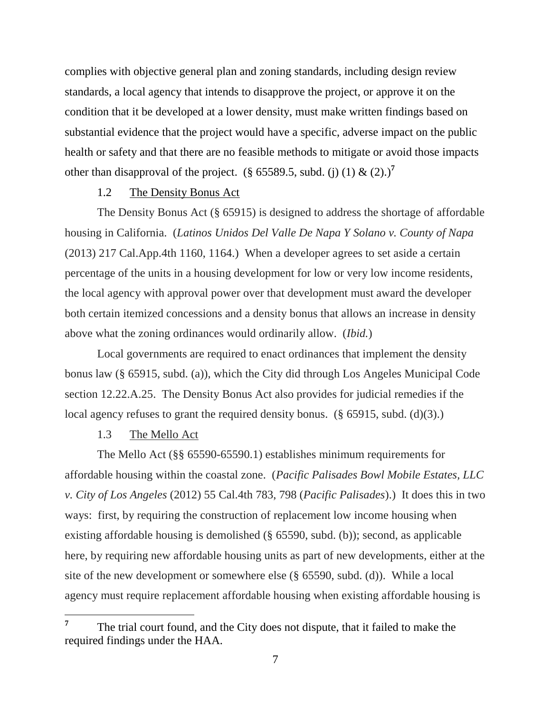complies with objective general plan and zoning standards, including design review standards, a local agency that intends to disapprove the project, or approve it on the condition that it be developed at a lower density, must make written findings based on substantial evidence that the project would have a specific, adverse impact on the public health or safety and that there are no feasible methods to mitigate or avoid those impacts other than disapproval of the project. (§ 65589.5, subd. (i) (1)  $\&$  (2).)<sup>7</sup>

### 1.2 The Density Bonus Act

The Density Bonus Act (§ 65915) is designed to address the shortage of affordable housing in California. (*Latinos Unidos Del Valle De Napa Y Solano v. County of Napa* (2013) 217 Cal.App.4th 1160, 1164.) When a developer agrees to set aside a certain percentage of the units in a housing development for low or very low income residents, the local agency with approval power over that development must award the developer both certain itemized concessions and a density bonus that allows an increase in density above what the zoning ordinances would ordinarily allow. (*Ibid.*)

Local governments are required to enact ordinances that implement the density bonus law (§ 65915, subd. (a)), which the City did through Los Angeles Municipal Code section 12.22.A.25. The Density Bonus Act also provides for judicial remedies if the local agency refuses to grant the required density bonus. (§ 65915, subd. (d)(3).)

#### 1.3 The Mello Act

 $\overline{a}$ 

The Mello Act (§§ 65590-65590.1) establishes minimum requirements for affordable housing within the coastal zone. (*Pacific Palisades Bowl Mobile Estates, LLC v. City of Los Angeles* (2012) 55 Cal.4th 783, 798 (*Pacific Palisades*).) It does this in two ways: first, by requiring the construction of replacement low income housing when existing affordable housing is demolished (§ 65590, subd. (b)); second, as applicable here, by requiring new affordable housing units as part of new developments, either at the site of the new development or somewhere else (§ 65590, subd. (d)). While a local agency must require replacement affordable housing when existing affordable housing is

**<sup>7</sup>** The trial court found, and the City does not dispute, that it failed to make the required findings under the HAA.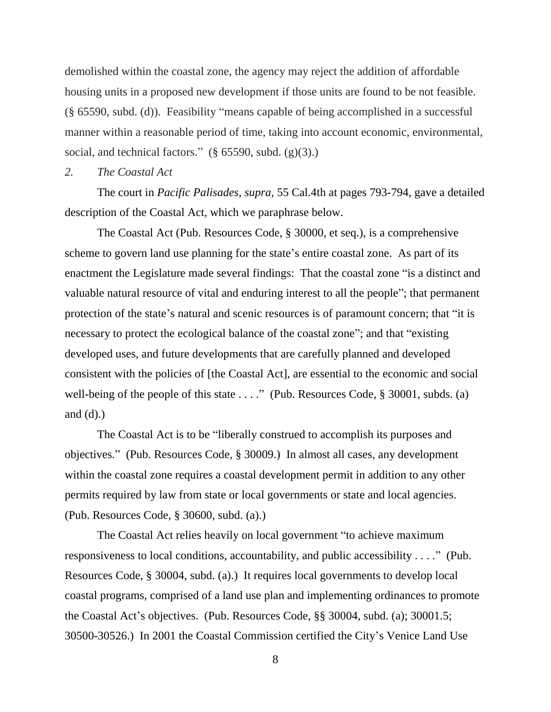demolished within the coastal zone, the agency may reject the addition of affordable housing units in a proposed new development if those units are found to be not feasible. (§ 65590, subd. (d)). Feasibility "means capable of being accomplished in a successful manner within a reasonable period of time, taking into account economic, environmental, social, and technical factors."  $(\S 65590, \text{subd. (g)}(3))$ .

#### *2. The Coastal Act*

The court in *Pacific Palisades, supra,* 55 Cal.4th at pages 793-794, gave a detailed description of the Coastal Act, which we paraphrase below.

The Coastal Act (Pub. Resources Code, § 30000, et seq.), is a comprehensive scheme to govern land use planning for the state's entire coastal zone. As part of its enactment the Legislature made several findings: That the coastal zone "is a distinct and valuable natural resource of vital and enduring interest to all the people"; that permanent protection of the state's natural and scenic resources is of paramount concern; that "it is necessary to protect the ecological balance of the coastal zone"; and that "existing developed uses, and future developments that are carefully planned and developed consistent with the policies of [the Coastal Act], are essential to the economic and social well-being of the people of this state . . . ." (Pub. Resources Code, § 30001, subds. (a) and  $(d)$ .)

The Coastal Act is to be "liberally construed to accomplish its purposes and objectives." (Pub. Resources Code, § 30009.) In almost all cases, any development within the coastal zone requires a coastal development permit in addition to any other permits required by law from state or local governments or state and local agencies. (Pub. Resources Code, § 30600, subd. (a).)

The Coastal Act relies heavily on local government "to achieve maximum responsiveness to local conditions, accountability, and public accessibility . . . ." (Pub. Resources Code, § 30004, subd. (a).) It requires local governments to develop local coastal programs, comprised of a land use plan and implementing ordinances to promote the Coastal Act's objectives. (Pub. Resources Code, §§ 30004, subd. (a); 30001.5; 30500-30526.) In 2001 the Coastal Commission certified the City's Venice Land Use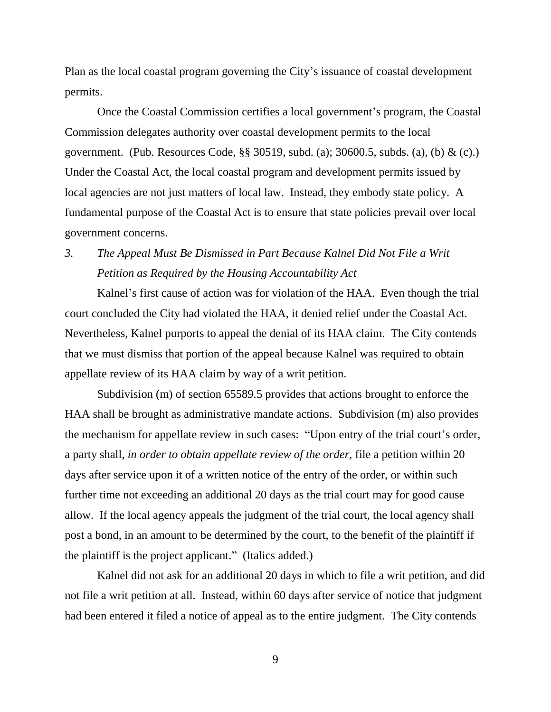Plan as the local coastal program governing the City's issuance of coastal development permits.

Once the Coastal Commission certifies a local government's program, the Coastal Commission delegates authority over coastal development permits to the local government. (Pub. Resources Code, §§ 30519, subd. (a); 30600.5, subds. (a), (b) & (c).) Under the Coastal Act, the local coastal program and development permits issued by local agencies are not just matters of local law. Instead, they embody state policy. A fundamental purpose of the Coastal Act is to ensure that state policies prevail over local government concerns.

# *3. The Appeal Must Be Dismissed in Part Because Kalnel Did Not File a Writ Petition as Required by the Housing Accountability Act*

Kalnel's first cause of action was for violation of the HAA. Even though the trial court concluded the City had violated the HAA, it denied relief under the Coastal Act. Nevertheless, Kalnel purports to appeal the denial of its HAA claim. The City contends that we must dismiss that portion of the appeal because Kalnel was required to obtain appellate review of its HAA claim by way of a writ petition.

Subdivision (m) of section 65589.5 provides that actions brought to enforce the HAA shall be brought as administrative mandate actions. Subdivision (m) also provides the mechanism for appellate review in such cases: "Upon entry of the trial court's order, a party shall, *in order to obtain appellate review of the order,* file a petition within 20 days after service upon it of a written notice of the entry of the order, or within such further time not exceeding an additional 20 days as the trial court may for good cause allow. If the local agency appeals the judgment of the trial court, the local agency shall post a bond, in an amount to be determined by the court, to the benefit of the plaintiff if the plaintiff is the project applicant." (Italics added.)

Kalnel did not ask for an additional 20 days in which to file a writ petition, and did not file a writ petition at all. Instead, within 60 days after service of notice that judgment had been entered it filed a notice of appeal as to the entire judgment. The City contends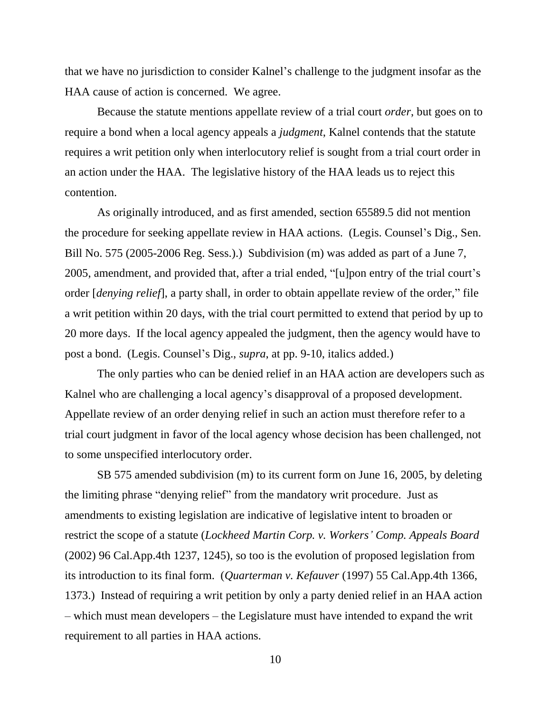that we have no jurisdiction to consider Kalnel's challenge to the judgment insofar as the HAA cause of action is concerned. We agree.

Because the statute mentions appellate review of a trial court *order*, but goes on to require a bond when a local agency appeals a *judgment*, Kalnel contends that the statute requires a writ petition only when interlocutory relief is sought from a trial court order in an action under the HAA. The legislative history of the HAA leads us to reject this contention.

As originally introduced, and as first amended, section 65589.5 did not mention the procedure for seeking appellate review in HAA actions. (Legis. Counsel's Dig., Sen. Bill No. 575 (2005-2006 Reg. Sess.).) Subdivision (m) was added as part of a June 7, 2005, amendment, and provided that, after a trial ended, "[u]pon entry of the trial court's order [*denying relief*], a party shall, in order to obtain appellate review of the order," file a writ petition within 20 days, with the trial court permitted to extend that period by up to 20 more days. If the local agency appealed the judgment, then the agency would have to post a bond. (Legis. Counsel's Dig., *supra*, at pp. 9-10, italics added.)

The only parties who can be denied relief in an HAA action are developers such as Kalnel who are challenging a local agency's disapproval of a proposed development. Appellate review of an order denying relief in such an action must therefore refer to a trial court judgment in favor of the local agency whose decision has been challenged, not to some unspecified interlocutory order.

SB 575 amended subdivision (m) to its current form on June 16, 2005, by deleting the limiting phrase "denying relief" from the mandatory writ procedure. Just as amendments to existing legislation are indicative of legislative intent to broaden or restrict the scope of a statute (*Lockheed Martin Corp. v. Workers' Comp. Appeals Board* (2002) 96 Cal.App.4th 1237, 1245), so too is the evolution of proposed legislation from its introduction to its final form. (*Quarterman v. Kefauver* (1997) 55 Cal.App.4th 1366, 1373.) Instead of requiring a writ petition by only a party denied relief in an HAA action – which must mean developers – the Legislature must have intended to expand the writ requirement to all parties in HAA actions.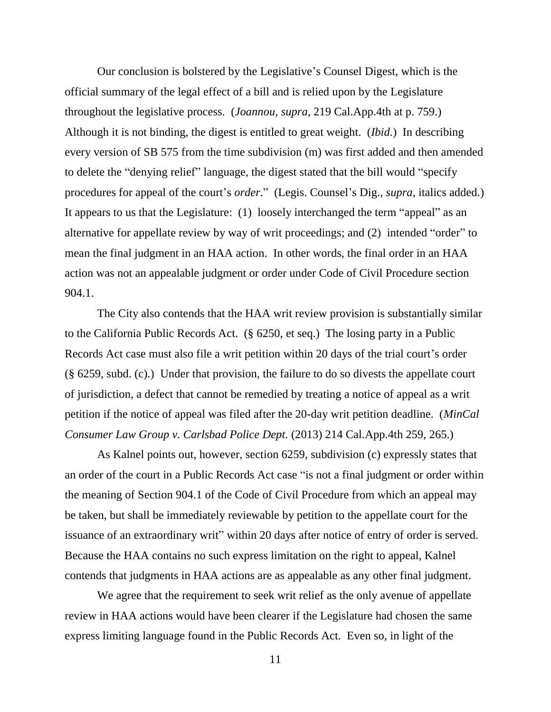Our conclusion is bolstered by the Legislative's Counsel Digest, which is the official summary of the legal effect of a bill and is relied upon by the Legislature throughout the legislative process. (*Joannou, supra,* 219 Cal.App.4th at p. 759.) Although it is not binding, the digest is entitled to great weight. (*Ibid.*) In describing every version of SB 575 from the time subdivision (m) was first added and then amended to delete the "denying relief" language, the digest stated that the bill would "specify procedures for appeal of the court's *order*." (Legis. Counsel's Dig., *supra*, italics added.) It appears to us that the Legislature: (1) loosely interchanged the term "appeal" as an alternative for appellate review by way of writ proceedings; and (2) intended "order" to mean the final judgment in an HAA action. In other words, the final order in an HAA action was not an appealable judgment or order under Code of Civil Procedure section 904.1.

The City also contends that the HAA writ review provision is substantially similar to the California Public Records Act. (§ 6250, et seq.) The losing party in a Public Records Act case must also file a writ petition within 20 days of the trial court's order (§ 6259, subd. (c).) Under that provision, the failure to do so divests the appellate court of jurisdiction, a defect that cannot be remedied by treating a notice of appeal as a writ petition if the notice of appeal was filed after the 20-day writ petition deadline. (*MinCal Consumer Law Group v. Carlsbad Police Dept.* (2013) 214 Cal.App.4th 259, 265.)

As Kalnel points out, however, section 6259, subdivision (c) expressly states that an order of the court in a Public Records Act case "is not a final judgment or order within the meaning of Section 904.1 of the Code of Civil Procedure from which an appeal may be taken, but shall be immediately reviewable by petition to the appellate court for the issuance of an extraordinary writ" within 20 days after notice of entry of order is served. Because the HAA contains no such express limitation on the right to appeal, Kalnel contends that judgments in HAA actions are as appealable as any other final judgment.

We agree that the requirement to seek writ relief as the only avenue of appellate review in HAA actions would have been clearer if the Legislature had chosen the same express limiting language found in the Public Records Act. Even so, in light of the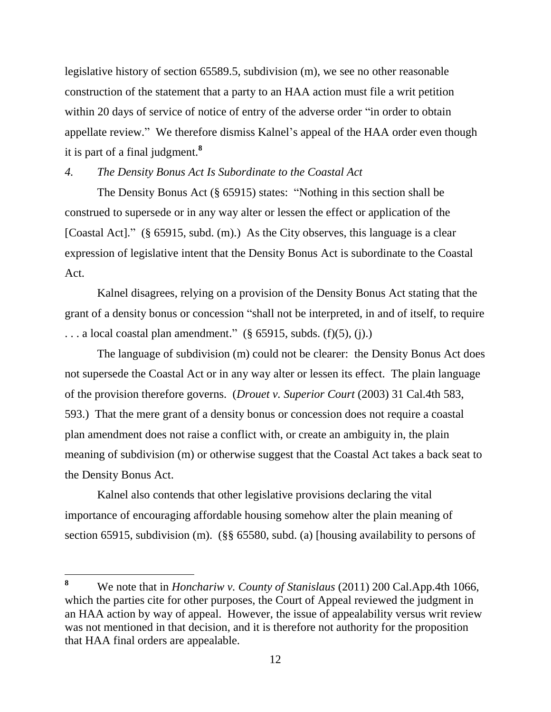legislative history of section 65589.5, subdivision (m), we see no other reasonable construction of the statement that a party to an HAA action must file a writ petition within 20 days of service of notice of entry of the adverse order "in order to obtain appellate review." We therefore dismiss Kalnel's appeal of the HAA order even though it is part of a final judgment. **8**

*4. The Density Bonus Act Is Subordinate to the Coastal Act*

The Density Bonus Act (§ 65915) states: "Nothing in this section shall be construed to supersede or in any way alter or lessen the effect or application of the [Coastal Act]." (§ 65915, subd. (m).) As the City observes, this language is a clear expression of legislative intent that the Density Bonus Act is subordinate to the Coastal Act.

Kalnel disagrees, relying on a provision of the Density Bonus Act stating that the grant of a density bonus or concession "shall not be interpreted, in and of itself, to require  $\ldots$  a local coastal plan amendment." (§ 65915, subds. (f)(5), (j).)

The language of subdivision (m) could not be clearer: the Density Bonus Act does not supersede the Coastal Act or in any way alter or lessen its effect. The plain language of the provision therefore governs. (*Drouet v. Superior Court* (2003) 31 Cal.4th 583, 593.) That the mere grant of a density bonus or concession does not require a coastal plan amendment does not raise a conflict with, or create an ambiguity in, the plain meaning of subdivision (m) or otherwise suggest that the Coastal Act takes a back seat to the Density Bonus Act.

Kalnel also contends that other legislative provisions declaring the vital importance of encouraging affordable housing somehow alter the plain meaning of section 65915, subdivision (m). (§§ 65580, subd. (a) [housing availability to persons of

 $\bf{8}$ **<sup>8</sup>** We note that in *Honchariw v. County of Stanislaus* (2011) 200 Cal.App.4th 1066, which the parties cite for other purposes, the Court of Appeal reviewed the judgment in an HAA action by way of appeal. However, the issue of appealability versus writ review was not mentioned in that decision, and it is therefore not authority for the proposition that HAA final orders are appealable.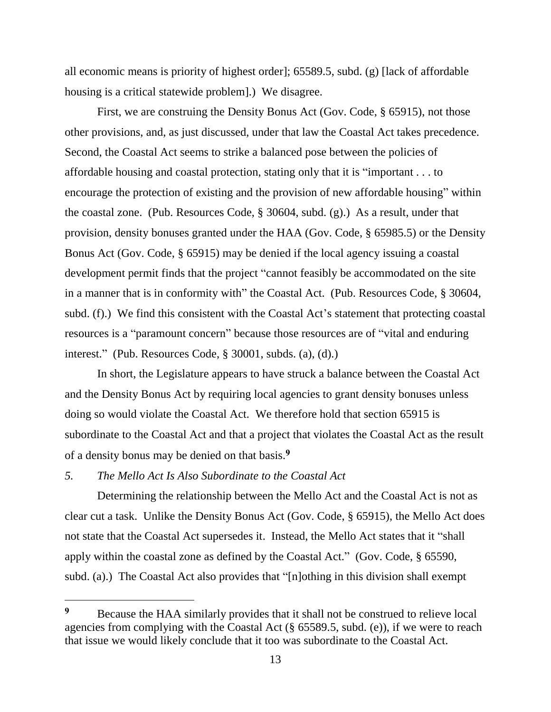all economic means is priority of highest order]; 65589.5, subd. (g) [lack of affordable housing is a critical statewide problem].) We disagree.

First, we are construing the Density Bonus Act (Gov. Code, § 65915), not those other provisions, and, as just discussed, under that law the Coastal Act takes precedence. Second, the Coastal Act seems to strike a balanced pose between the policies of affordable housing and coastal protection, stating only that it is "important . . . to encourage the protection of existing and the provision of new affordable housing" within the coastal zone. (Pub. Resources Code, § 30604, subd. (g).) As a result, under that provision, density bonuses granted under the HAA (Gov. Code, § 65985.5) or the Density Bonus Act (Gov. Code, § 65915) may be denied if the local agency issuing a coastal development permit finds that the project "cannot feasibly be accommodated on the site in a manner that is in conformity with" the Coastal Act. (Pub. Resources Code, § 30604, subd. (f).) We find this consistent with the Coastal Act's statement that protecting coastal resources is a "paramount concern" because those resources are of "vital and enduring interest." (Pub. Resources Code, § 30001, subds. (a), (d).)

In short, the Legislature appears to have struck a balance between the Coastal Act and the Density Bonus Act by requiring local agencies to grant density bonuses unless doing so would violate the Coastal Act. We therefore hold that section 65915 is subordinate to the Coastal Act and that a project that violates the Coastal Act as the result of a density bonus may be denied on that basis.**<sup>9</sup>**

# *5. The Mello Act Is Also Subordinate to the Coastal Act*

 $\overline{a}$ 

Determining the relationship between the Mello Act and the Coastal Act is not as clear cut a task. Unlike the Density Bonus Act (Gov. Code, § 65915), the Mello Act does not state that the Coastal Act supersedes it. Instead, the Mello Act states that it "shall apply within the coastal zone as defined by the Coastal Act." (Gov. Code, § 65590, subd. (a).) The Coastal Act also provides that "[n]othing in this division shall exempt

**<sup>9</sup>** Because the HAA similarly provides that it shall not be construed to relieve local agencies from complying with the Coastal Act (§ 65589.5, subd. (e)), if we were to reach that issue we would likely conclude that it too was subordinate to the Coastal Act.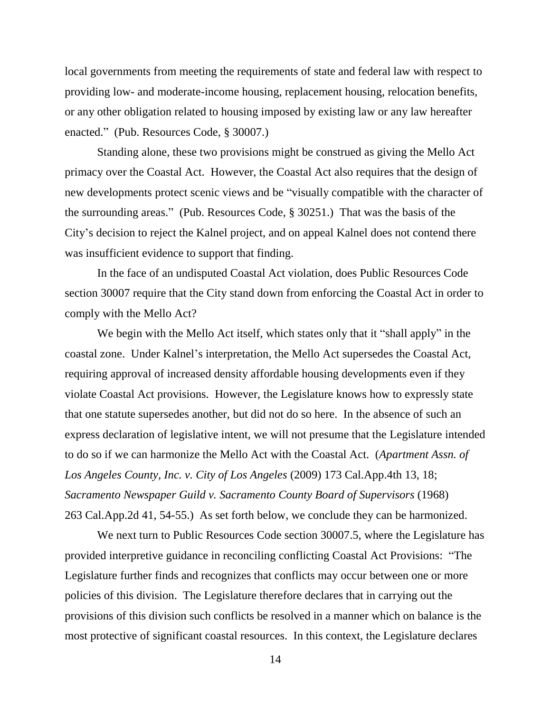local governments from meeting the requirements of state and federal law with respect to providing low- and moderate-income housing, replacement housing, relocation benefits, or any other obligation related to housing imposed by existing law or any law hereafter enacted." (Pub. Resources Code, § 30007.)

Standing alone, these two provisions might be construed as giving the Mello Act primacy over the Coastal Act. However, the Coastal Act also requires that the design of new developments protect scenic views and be "visually compatible with the character of the surrounding areas." (Pub. Resources Code, § 30251.) That was the basis of the City's decision to reject the Kalnel project, and on appeal Kalnel does not contend there was insufficient evidence to support that finding.

In the face of an undisputed Coastal Act violation, does Public Resources Code section 30007 require that the City stand down from enforcing the Coastal Act in order to comply with the Mello Act?

We begin with the Mello Act itself, which states only that it "shall apply" in the coastal zone. Under Kalnel's interpretation, the Mello Act supersedes the Coastal Act, requiring approval of increased density affordable housing developments even if they violate Coastal Act provisions. However, the Legislature knows how to expressly state that one statute supersedes another, but did not do so here. In the absence of such an express declaration of legislative intent, we will not presume that the Legislature intended to do so if we can harmonize the Mello Act with the Coastal Act. (*Apartment Assn. of Los Angeles County, Inc. v. City of Los Angeles* (2009) 173 Cal.App.4th 13, 18; *Sacramento Newspaper Guild v. Sacramento County Board of Supervisors* (1968) 263 Cal.App.2d 41, 54-55.) As set forth below, we conclude they can be harmonized.

We next turn to Public Resources Code section 30007.5, where the Legislature has provided interpretive guidance in reconciling conflicting Coastal Act Provisions: "The Legislature further finds and recognizes that conflicts may occur between one or more policies of this division. The Legislature therefore declares that in carrying out the provisions of this division such conflicts be resolved in a manner which on balance is the most protective of significant coastal resources. In this context, the Legislature declares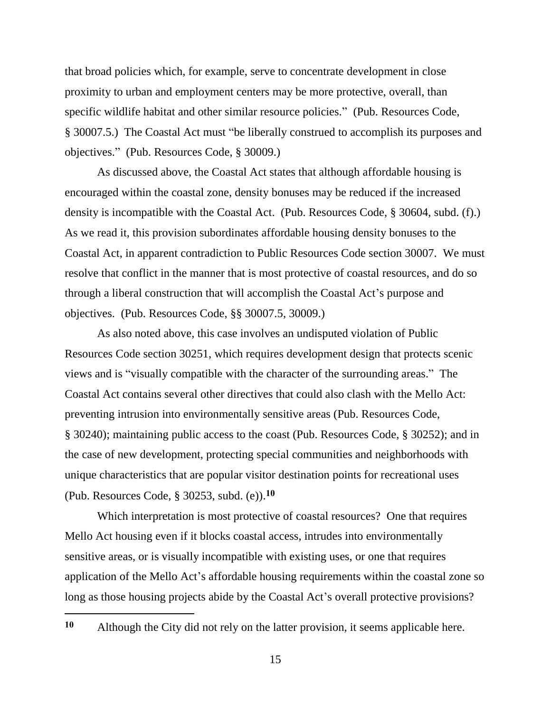that broad policies which, for example, serve to concentrate development in close proximity to urban and employment centers may be more protective, overall, than specific wildlife habitat and other similar resource policies." (Pub. Resources Code, § 30007.5.) The Coastal Act must "be liberally construed to accomplish its purposes and objectives." (Pub. Resources Code, § 30009.)

As discussed above, the Coastal Act states that although affordable housing is encouraged within the coastal zone, density bonuses may be reduced if the increased density is incompatible with the Coastal Act. (Pub. Resources Code, § 30604, subd. (f).) As we read it, this provision subordinates affordable housing density bonuses to the Coastal Act, in apparent contradiction to Public Resources Code section 30007. We must resolve that conflict in the manner that is most protective of coastal resources, and do so through a liberal construction that will accomplish the Coastal Act's purpose and objectives. (Pub. Resources Code, §§ 30007.5, 30009.)

As also noted above, this case involves an undisputed violation of Public Resources Code section 30251, which requires development design that protects scenic views and is "visually compatible with the character of the surrounding areas." The Coastal Act contains several other directives that could also clash with the Mello Act: preventing intrusion into environmentally sensitive areas (Pub. Resources Code, § 30240); maintaining public access to the coast (Pub. Resources Code, § 30252); and in the case of new development, protecting special communities and neighborhoods with unique characteristics that are popular visitor destination points for recreational uses (Pub. Resources Code, § 30253, subd. (e)). **10**

Which interpretation is most protective of coastal resources? One that requires Mello Act housing even if it blocks coastal access, intrudes into environmentally sensitive areas, or is visually incompatible with existing uses, or one that requires application of the Mello Act's affordable housing requirements within the coastal zone so long as those housing projects abide by the Coastal Act's overall protective provisions?

**<sup>10</sup>** Although the City did not rely on the latter provision, it seems applicable here.

 $\overline{a}$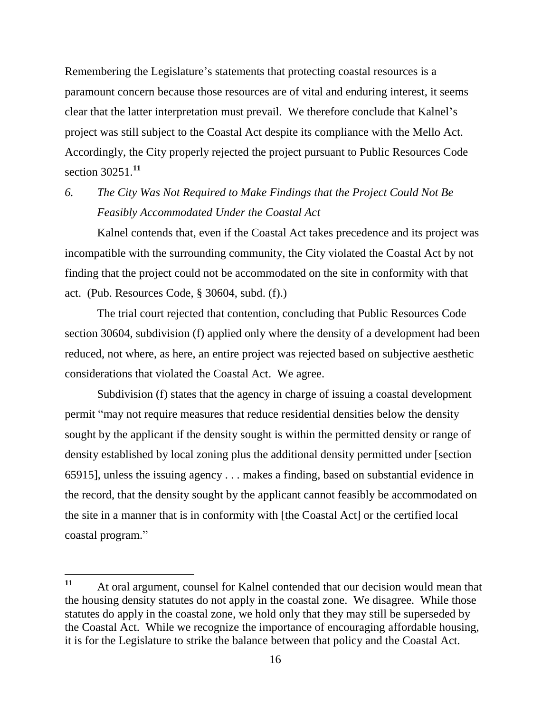Remembering the Legislature's statements that protecting coastal resources is a paramount concern because those resources are of vital and enduring interest, it seems clear that the latter interpretation must prevail. We therefore conclude that Kalnel's project was still subject to the Coastal Act despite its compliance with the Mello Act. Accordingly, the City properly rejected the project pursuant to Public Resources Code section 30251.**<sup>11</sup>**

# *6. The City Was Not Required to Make Findings that the Project Could Not Be Feasibly Accommodated Under the Coastal Act*

Kalnel contends that, even if the Coastal Act takes precedence and its project was incompatible with the surrounding community, the City violated the Coastal Act by not finding that the project could not be accommodated on the site in conformity with that act. (Pub. Resources Code, § 30604, subd. (f).)

The trial court rejected that contention, concluding that Public Resources Code section 30604, subdivision (f) applied only where the density of a development had been reduced, not where, as here, an entire project was rejected based on subjective aesthetic considerations that violated the Coastal Act. We agree.

Subdivision (f) states that the agency in charge of issuing a coastal development permit "may not require measures that reduce residential densities below the density sought by the applicant if the density sought is within the permitted density or range of density established by local zoning plus the additional density permitted under [section 65915], unless the issuing agency . . . makes a finding, based on substantial evidence in the record, that the density sought by the applicant cannot feasibly be accommodated on the site in a manner that is in conformity with [the Coastal Act] or the certified local coastal program."

<sup>11</sup> **<sup>11</sup>** At oral argument, counsel for Kalnel contended that our decision would mean that the housing density statutes do not apply in the coastal zone. We disagree. While those statutes do apply in the coastal zone, we hold only that they may still be superseded by the Coastal Act. While we recognize the importance of encouraging affordable housing, it is for the Legislature to strike the balance between that policy and the Coastal Act.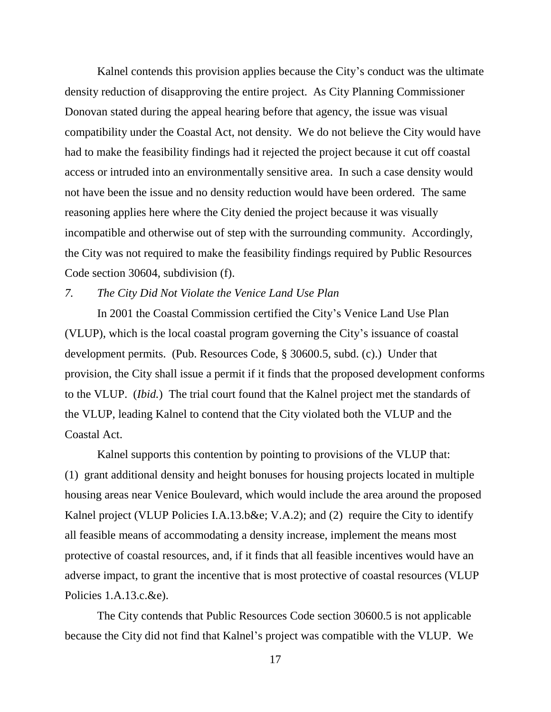Kalnel contends this provision applies because the City's conduct was the ultimate density reduction of disapproving the entire project. As City Planning Commissioner Donovan stated during the appeal hearing before that agency, the issue was visual compatibility under the Coastal Act, not density. We do not believe the City would have had to make the feasibility findings had it rejected the project because it cut off coastal access or intruded into an environmentally sensitive area. In such a case density would not have been the issue and no density reduction would have been ordered. The same reasoning applies here where the City denied the project because it was visually incompatible and otherwise out of step with the surrounding community. Accordingly, the City was not required to make the feasibility findings required by Public Resources Code section 30604, subdivision (f).

#### *7. The City Did Not Violate the Venice Land Use Plan*

In 2001 the Coastal Commission certified the City's Venice Land Use Plan (VLUP), which is the local coastal program governing the City's issuance of coastal development permits. (Pub. Resources Code, § 30600.5, subd. (c).) Under that provision, the City shall issue a permit if it finds that the proposed development conforms to the VLUP. (*Ibid.*) The trial court found that the Kalnel project met the standards of the VLUP, leading Kalnel to contend that the City violated both the VLUP and the Coastal Act.

Kalnel supports this contention by pointing to provisions of the VLUP that: (1) grant additional density and height bonuses for housing projects located in multiple housing areas near Venice Boulevard, which would include the area around the proposed Kalnel project (VLUP Policies I.A.13.b&e; V.A.2); and (2) require the City to identify all feasible means of accommodating a density increase, implement the means most protective of coastal resources, and, if it finds that all feasible incentives would have an adverse impact, to grant the incentive that is most protective of coastal resources (VLUP Policies 1.A.13.c.&e).

The City contends that Public Resources Code section 30600.5 is not applicable because the City did not find that Kalnel's project was compatible with the VLUP. We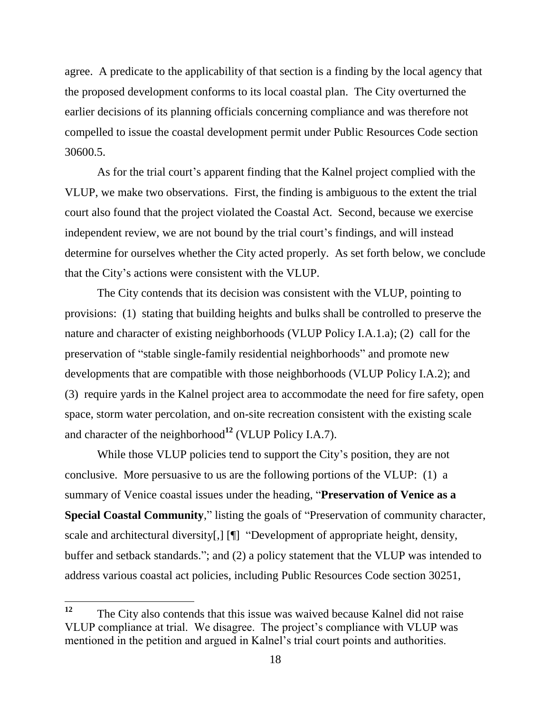agree. A predicate to the applicability of that section is a finding by the local agency that the proposed development conforms to its local coastal plan. The City overturned the earlier decisions of its planning officials concerning compliance and was therefore not compelled to issue the coastal development permit under Public Resources Code section 30600.5.

As for the trial court's apparent finding that the Kalnel project complied with the VLUP, we make two observations. First, the finding is ambiguous to the extent the trial court also found that the project violated the Coastal Act. Second, because we exercise independent review, we are not bound by the trial court's findings, and will instead determine for ourselves whether the City acted properly. As set forth below, we conclude that the City's actions were consistent with the VLUP.

The City contends that its decision was consistent with the VLUP, pointing to provisions: (1) stating that building heights and bulks shall be controlled to preserve the nature and character of existing neighborhoods (VLUP Policy I.A.1.a); (2) call for the preservation of "stable single-family residential neighborhoods" and promote new developments that are compatible with those neighborhoods (VLUP Policy I.A.2); and (3) require yards in the Kalnel project area to accommodate the need for fire safety, open space, storm water percolation, and on-site recreation consistent with the existing scale and character of the neighborhood**<sup>12</sup>** (VLUP Policy I.A.7).

While those VLUP policies tend to support the City's position, they are not conclusive. More persuasive to us are the following portions of the VLUP: (1) a summary of Venice coastal issues under the heading, "**Preservation of Venice as a Special Coastal Community**," listing the goals of "Preservation of community character, scale and architectural diversity[,] [¶] "Development of appropriate height, density, buffer and setback standards."; and (2) a policy statement that the VLUP was intended to address various coastal act policies, including Public Resources Code section 30251,

<sup>12</sup> **<sup>12</sup>** The City also contends that this issue was waived because Kalnel did not raise VLUP compliance at trial. We disagree. The project's compliance with VLUP was mentioned in the petition and argued in Kalnel's trial court points and authorities.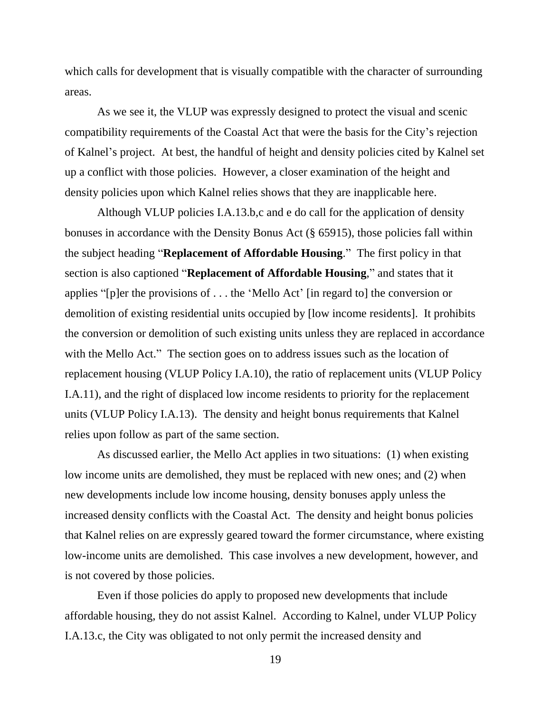which calls for development that is visually compatible with the character of surrounding areas.

As we see it, the VLUP was expressly designed to protect the visual and scenic compatibility requirements of the Coastal Act that were the basis for the City's rejection of Kalnel's project. At best, the handful of height and density policies cited by Kalnel set up a conflict with those policies. However, a closer examination of the height and density policies upon which Kalnel relies shows that they are inapplicable here.

Although VLUP policies I.A.13.b,c and e do call for the application of density bonuses in accordance with the Density Bonus Act (§ 65915), those policies fall within the subject heading "**Replacement of Affordable Housing**." The first policy in that section is also captioned "**Replacement of Affordable Housing**," and states that it applies "[p]er the provisions of . . . the 'Mello Act' [in regard to] the conversion or demolition of existing residential units occupied by [low income residents]. It prohibits the conversion or demolition of such existing units unless they are replaced in accordance with the Mello Act." The section goes on to address issues such as the location of replacement housing (VLUP Policy I.A.10), the ratio of replacement units (VLUP Policy I.A.11), and the right of displaced low income residents to priority for the replacement units (VLUP Policy I.A.13). The density and height bonus requirements that Kalnel relies upon follow as part of the same section.

As discussed earlier, the Mello Act applies in two situations: (1) when existing low income units are demolished, they must be replaced with new ones; and (2) when new developments include low income housing, density bonuses apply unless the increased density conflicts with the Coastal Act. The density and height bonus policies that Kalnel relies on are expressly geared toward the former circumstance, where existing low-income units are demolished. This case involves a new development, however, and is not covered by those policies.

Even if those policies do apply to proposed new developments that include affordable housing, they do not assist Kalnel. According to Kalnel, under VLUP Policy I.A.13.c, the City was obligated to not only permit the increased density and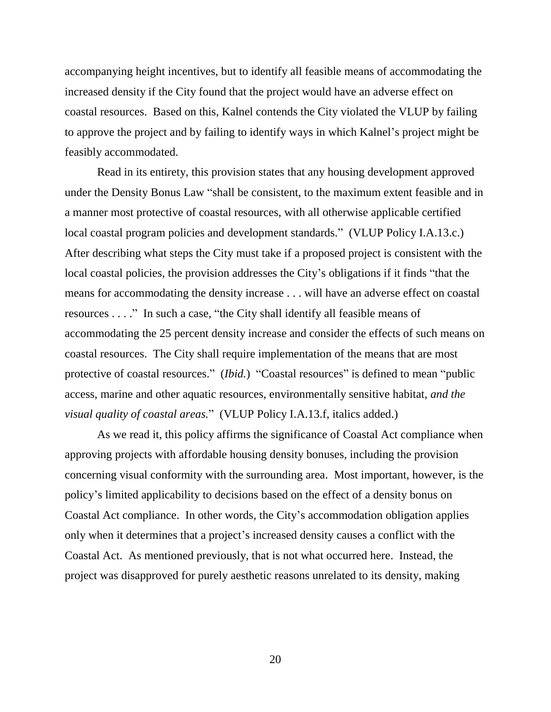accompanying height incentives, but to identify all feasible means of accommodating the increased density if the City found that the project would have an adverse effect on coastal resources. Based on this, Kalnel contends the City violated the VLUP by failing to approve the project and by failing to identify ways in which Kalnel's project might be feasibly accommodated.

Read in its entirety, this provision states that any housing development approved under the Density Bonus Law "shall be consistent, to the maximum extent feasible and in a manner most protective of coastal resources, with all otherwise applicable certified local coastal program policies and development standards." (VLUP Policy I.A.13.c.) After describing what steps the City must take if a proposed project is consistent with the local coastal policies, the provision addresses the City's obligations if it finds "that the means for accommodating the density increase . . . will have an adverse effect on coastal resources . . . ." In such a case, "the City shall identify all feasible means of accommodating the 25 percent density increase and consider the effects of such means on coastal resources. The City shall require implementation of the means that are most protective of coastal resources." (*Ibid.*) "Coastal resources" is defined to mean "public access, marine and other aquatic resources, environmentally sensitive habitat, *and the visual quality of coastal areas.*" (VLUP Policy I.A.13.f, italics added.)

As we read it, this policy affirms the significance of Coastal Act compliance when approving projects with affordable housing density bonuses, including the provision concerning visual conformity with the surrounding area. Most important, however, is the policy's limited applicability to decisions based on the effect of a density bonus on Coastal Act compliance. In other words, the City's accommodation obligation applies only when it determines that a project's increased density causes a conflict with the Coastal Act. As mentioned previously, that is not what occurred here. Instead, the project was disapproved for purely aesthetic reasons unrelated to its density, making